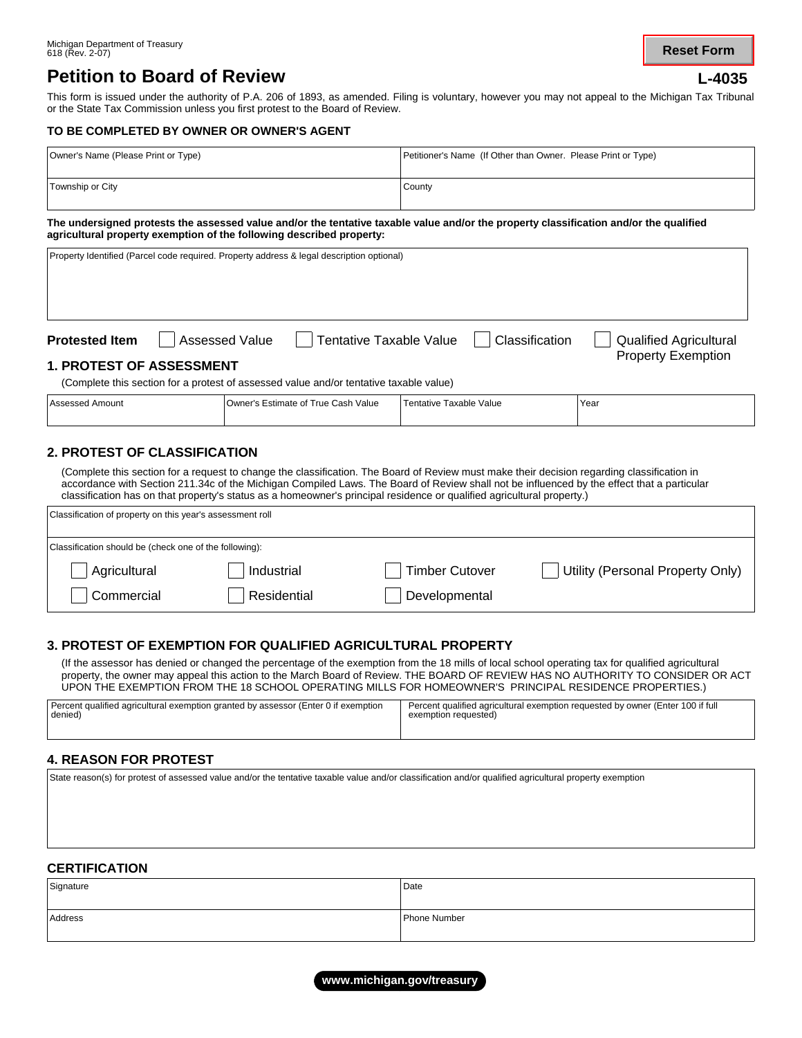# **Petition to Board of Review**

**Reset Form**

This form is issued under the authority of P.A. 206 of 1893, as amended. Filing is voluntary, however you may not appeal to the Michigan Tax Tribunal or the State Tax Commission unless you first protest to the Board of Review.

### **TO BE COMPLETED BY OWNER OR OWNER'S AGENT**

| Owner's Name (Please Print or Type) | Petitioner's Name (If Other than Owner. Please Print or Type) |
|-------------------------------------|---------------------------------------------------------------|
| Township or City                    | County                                                        |

#### **The undersigned protests the assessed value and/or the tentative taxable value and/or the property classification and/or the qualified agricultural property exemption of the following described property:**

|                                                                                                                                                                                                                                                                                                                                                                                                                                                            | Property Identified (Parcel code required. Property address & legal description optional)                                                  |                         |                                                            |  |
|------------------------------------------------------------------------------------------------------------------------------------------------------------------------------------------------------------------------------------------------------------------------------------------------------------------------------------------------------------------------------------------------------------------------------------------------------------|--------------------------------------------------------------------------------------------------------------------------------------------|-------------------------|------------------------------------------------------------|--|
| <b>Protested Item</b><br><b>1. PROTEST OF ASSESSMENT</b>                                                                                                                                                                                                                                                                                                                                                                                                   | Assessed Value<br><b>Tentative Taxable Value</b><br>(Complete this section for a protest of assessed value and/or tentative taxable value) | Classification          | <b>Qualified Agricultural</b><br><b>Property Exemption</b> |  |
| <b>Assessed Amount</b>                                                                                                                                                                                                                                                                                                                                                                                                                                     | Owner's Estimate of True Cash Value                                                                                                        | Tentative Taxable Value | Year                                                       |  |
| <b>2. PROTEST OF CLASSIFICATION</b><br>(Complete this section for a request to change the classification. The Board of Review must make their decision regarding classification in<br>accordance with Section 211.34c of the Michigan Compiled Laws. The Board of Review shall not be influenced by the effect that a particular<br>classification has on that property's status as a homeowner's principal residence or qualified agricultural property.) |                                                                                                                                            |                         |                                                            |  |

| Classification of property on this year's assessment roll |             |                       |                                  |
|-----------------------------------------------------------|-------------|-----------------------|----------------------------------|
| Classification should be (check one of the following):    |             |                       |                                  |
| Agricultural                                              | Industrial  | <b>Timber Cutover</b> | Utility (Personal Property Only) |
| Commercial                                                | Residential | Developmental         |                                  |

### **3. PROTEST OF EXEMPTION FOR QUALIFIED AGRICULTURAL PROPERTY**

(If the assessor has denied or changed the percentage of the exemption from the 18 mills of local school operating tax for qualified agricultural property, the owner may appeal this action to the March Board of Review. THE BOARD OF REVIEW HAS NO AUTHORITY TO CONSIDER OR ACT UPON THE EXEMPTION FROM THE 18 SCHOOL OPERATING MILLS FOR HOMEOWNER'S PRINCIPAL RESIDENCE PROPERTIES.)

| Percent qualified agricultural exemption granted by assessor (Enter 0 if exemption | Percent qualified agricultural exemption requested by owner (Enter 100 if full |
|------------------------------------------------------------------------------------|--------------------------------------------------------------------------------|
| denied)                                                                            | exemption requested)                                                           |
|                                                                                    |                                                                                |

### **4. REASON FOR PROTEST**

State reason(s) for protest of assessed value and/or the tentative taxable value and/or classification and/or qualified agricultural property exemption

#### **CERTIFICATION**

| Signature | Date         |
|-----------|--------------|
| Address   | Phone Number |

**www.michigan.gov/treasury**